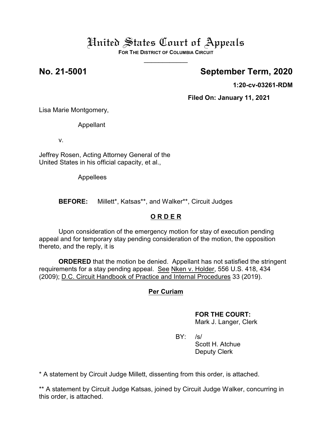**FOR THE DISTRICT OF COLUMBIA CIRCUIT**  $\overline{\phantom{a}}$ 

## **No. 21-5001 September Term, 2020**

**1:20-cv-03261-RDM**

**Filed On: January 11, 2021**

Lisa Marie Montgomery,

Appellant

v.

Jeffrey Rosen, Acting Attorney General of the United States in his official capacity, et al.,

Appellees

**BEFORE:** Millett\*, Katsas\*\*, and Walker\*\*, Circuit Judges

### **O R D E R**

Upon consideration of the emergency motion for stay of execution pending appeal and for temporary stay pending consideration of the motion, the opposition thereto, and the reply, it is

**ORDERED** that the motion be denied. Appellant has not satisfied the stringent requirements for a stay pending appeal. See Nken v. Holder, 556 U.S. 418, 434 (2009); D.C. Circuit Handbook of Practice and Internal Procedures 33 (2019).

### **Per Curiam**

### **FOR THE COURT:**

Mark J. Langer, Clerk

BY: /s/ Scott H. Atchue Deputy Clerk

\* A statement by Circuit Judge Millett, dissenting from this order, is attached.

\*\* A statement by Circuit Judge Katsas, joined by Circuit Judge Walker, concurring in this order, is attached.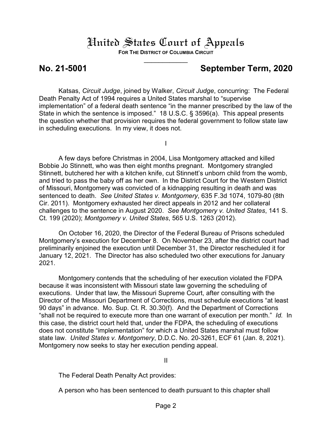**FOR THE DISTRICT OF COLUMBIA CIRCUIT**  $\overline{\phantom{a}}$ 

### **No. 21-5001 September Term, 2020**

Katsas, *Circuit Judge*, joined by Walker, *Circuit Judge*, concurring: The Federal Death Penalty Act of 1994 requires a United States marshal to "supervise implementation" of a federal death sentence "in the manner prescribed by the law of the State in which the sentence is imposed." 18 U.S.C. § 3596(a). This appeal presents the question whether that provision requires the federal government to follow state law in scheduling executions. In my view, it does not.

I

A few days before Christmas in 2004, Lisa Montgomery attacked and killed Bobbie Jo Stinnett, who was then eight months pregnant. Montgomery strangled Stinnett, butchered her with a kitchen knife, cut Stinnett's unborn child from the womb, and tried to pass the baby off as her own. In the District Court for the Western District of Missouri, Montgomery was convicted of a kidnapping resulting in death and was sentenced to death. *See United States v. Montgomery*, 635 F.3d 1074, 1079-80 (8th Cir. 2011). Montgomery exhausted her direct appeals in 2012 and her collateral challenges to the sentence in August 2020. *See Montgomery v. United States*, 141 S. Ct. 199 (2020); *Montgomery v. United States*, 565 U.S. 1263 (2012).

On October 16, 2020, the Director of the Federal Bureau of Prisons scheduled Montgomery's execution for December 8. On November 23, after the district court had preliminarily enjoined the execution until December 31, the Director rescheduled it for January 12, 2021. The Director has also scheduled two other executions for January 2021.

Montgomery contends that the scheduling of her execution violated the FDPA because it was inconsistent with Missouri state law governing the scheduling of executions. Under that law, the Missouri Supreme Court, after consulting with the Director of the Missouri Department of Corrections, must schedule executions "at least 90 days" in advance. Mo. Sup. Ct. R. 30.30(f). And the Department of Corrections "shall not be required to execute more than one warrant of execution per month." *Id.* In this case, the district court held that, under the FDPA, the scheduling of executions does not constitute "implementation" for which a United States marshal must follow state law. *United States v. Montgomery*, D.D.C. No. 20-3261, ECF 61 (Jan. 8, 2021). Montgomery now seeks to stay her execution pending appeal.

II

The Federal Death Penalty Act provides:

A person who has been sentenced to death pursuant to this chapter shall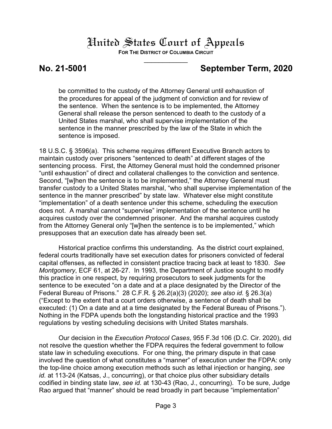**FOR THE DISTRICT OF COLUMBIA CIRCUIT**  $\overline{\phantom{a}}$ 

## **No. 21-5001 September Term, 2020**

be committed to the custody of the Attorney General until exhaustion of the procedures for appeal of the judgment of conviction and for review of the sentence. When the sentence is to be implemented, the Attorney General shall release the person sentenced to death to the custody of a United States marshal, who shall supervise implementation of the sentence in the manner prescribed by the law of the State in which the sentence is imposed.

18 U.S.C. § 3596(a). This scheme requires different Executive Branch actors to maintain custody over prisoners "sentenced to death" at different stages of the sentencing process. First, the Attorney General must hold the condemned prisoner "until exhaustion" of direct and collateral challenges to the conviction and sentence. Second, "[w]hen the sentence is to be implemented," the Attorney General must transfer custody to a United States marshal, "who shall supervise implementation of the sentence in the manner prescribed" by state law. Whatever else might constitute "implementation" of a death sentence under this scheme, scheduling the execution does not. A marshal cannot "supervise" implementation of the sentence until he acquires custody over the condemned prisoner. And the marshal acquires custody from the Attorney General only "[w]hen the sentence is to be implemented," which presupposes that an execution date has already been set.

Historical practice confirms this understanding. As the district court explained, federal courts traditionally have set execution dates for prisoners convicted of federal capital offenses, as reflected in consistent practice tracing back at least to 1830. *See Montgomery*, ECF 61, at 26-27. In 1993, the Department of Justice sought to modify this practice in one respect, by requiring prosecutors to seek judgments for the sentence to be executed "on a date and at a place designated by the Director of the Federal Bureau of Prisons." 28 C.F.R. § 26.2(a)(3) (2020); *see also id.* § 26.3(a) ("Except to the extent that a court orders otherwise, a sentence of death shall be executed: (1) On a date and at a time designated by the Federal Bureau of Prisons."). Nothing in the FDPA upends both the longstanding historical practice and the 1993 regulations by vesting scheduling decisions with United States marshals.

Our decision in the *Execution Protocol Cases*, 955 F.3d 106 (D.C. Cir. 2020), did not resolve the question whether the FDPA requires the federal government to follow state law in scheduling executions. For one thing, the primary dispute in that case involved the question of what constitutes a "manner" of execution under the FDPA: only the top-line choice among execution methods such as lethal injection or hanging, *see id.* at 113-24 (Katsas, J., concurring), or that choice plus other subsidiary details codified in binding state law, *see id.* at 130-43 (Rao, J., concurring). To be sure, Judge Rao argued that "manner" should be read broadly in part because "implementation"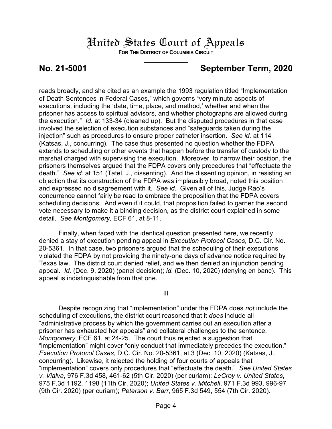**FOR THE DISTRICT OF COLUMBIA CIRCUIT**  $\overline{\phantom{a}}$ 

### **No. 21-5001 September Term, 2020**

reads broadly, and she cited as an example the 1993 regulation titled "Implementation of Death Sentences in Federal Cases," which governs "very minute aspects of executions, including the 'date, time, place, and method,' whether and when the prisoner has access to spiritual advisors, and whether photographs are allowed during the execution." *Id.* at 133-34 (cleaned up). But the disputed procedures in that case involved the selection of execution substances and "safeguards taken during the injection" such as procedures to ensure proper catheter insertion. *See id.* at 114 (Katsas, J., concurring). The case thus presented no question whether the FDPA extends to scheduling or other events that happen before the transfer of custody to the marshal charged with supervising the execution. Moreover, to narrow their position, the prisoners themselves argued that the FDPA covers only procedures that "effectuate the death." *See id.* at 151 (Tatel, J., dissenting). And the dissenting opinion, in resisting an objection that its construction of the FDPA was implausibly broad, noted this position and expressed no disagreement with it. *See id.* Given all of this, Judge Rao's concurrence cannot fairly be read to embrace the proposition that the FDPA covers scheduling decisions. And even if it could, that proposition failed to garner the second vote necessary to make it a binding decision, as the district court explained in some detail. *See Montgomery*, ECF 61, at 8-11.

Finally, when faced with the identical question presented here, we recently denied a stay of execution pending appeal in *Execution Protocol Cases*, D.C. Cir. No. 20-5361. In that case, two prisoners argued that the scheduling of their executions violated the FDPA by not providing the ninety-one days of advance notice required by Texas law. The district court denied relief, and we then denied an injunction pending appeal. *Id.* (Dec. 9, 2020) (panel decision); *id.* (Dec. 10, 2020) (denying en banc). This appeal is indistinguishable from that one.

III

Despite recognizing that "implementation" under the FDPA does *not* include the scheduling of executions, the district court reasoned that it *does* include all "administrative process by which the government carries out an execution after a prisoner has exhausted her appeals" and collateral challenges to the sentence. *Montgomery*, ECF 61, at 24-25. The court thus rejected a suggestion that "implementation" might cover "only conduct that immediately precedes the execution." *Execution Protocol Cases*, D.C. Cir. No. 20-5361, at 3 (Dec. 10, 2020) (Katsas, J., concurring). Likewise, it rejected the holding of four courts of appeals that "implementation" covers only procedures that "effectuate the death." *See United States v. Vialva*, 976 F.3d 458, 461-62 (5th Cir. 2020) (per curiam); *LeCroy v. United States*, 975 F.3d 1192, 1198 (11th Cir. 2020); *United States v. Mitchell*, 971 F.3d 993, 996-97 (9th Cir. 2020) (per curiam); *Peterson v. Barr*, 965 F.3d 549, 554 (7th Cir. 2020).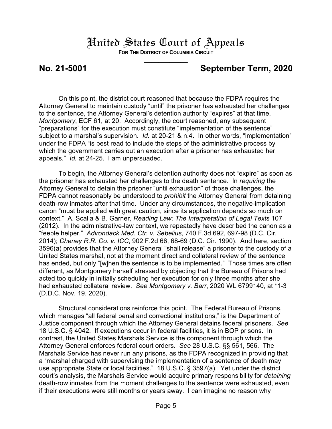**FOR THE DISTRICT OF COLUMBIA CIRCUIT**  $\overline{\phantom{a}}$ 

### **No. 21-5001 September Term, 2020**

On this point, the district court reasoned that because the FDPA requires the Attorney General to maintain custody "until" the prisoner has exhausted her challenges to the sentence, the Attorney General's detention authority "expires" at that time. *Montgomery*, ECF 61, at 20. Accordingly, the court reasoned, any subsequent "preparations" for the execution must constitute "implementation of the sentence" subject to a marshal's supervision. *Id.* at 20-21 & n.4. In other words, "implementation" under the FDPA "is best read to include the steps of the administrative process by which the government carries out an execution after a prisoner has exhausted her appeals." *Id.* at 24-25. I am unpersuaded.

To begin, the Attorney General's detention authority does not "expire" as soon as the prisoner has exhausted her challenges to the death sentence. In *requiring* the Attorney General to detain the prisoner "until exhaustion" of those challenges, the FDPA cannot reasonably be understood to *prohibit* the Attorney General from detaining death-row inmates after that time. Under any circumstances, the negative-implication canon "must be applied with great caution, since its application depends so much on context." A. Scalia & B. Garner, *Reading Law: The Interpretation of Legal Texts* 107 (2012). In the administrative-law context, we repeatedly have described the canon as a "feeble helper." *Adirondack Med. Ctr. v. Sebelius*, 740 F.3d 692, 697-98 (D.C. Cir. 2014); *Cheney R.R. Co. v. ICC*, 902 F.2d 66, 68-69 (D.C. Cir. 1990). And here, section 3596(a) provides that the Attorney General "shall release" a prisoner to the custody of a United States marshal, not at the moment direct and collateral review of the sentence has ended, but only "[w]hen the sentence is to be implemented." Those times are often different, as Montgomery herself stressed by objecting that the Bureau of Prisons had acted too quickly in initially scheduling her execution for only three months after she had exhausted collateral review. *See Montgomery v. Barr*, 2020 WL 6799140, at \*1-3 (D.D.C. Nov. 19, 2020).

Structural considerations reinforce this point. The Federal Bureau of Prisons, which manages "all federal penal and correctional institutions," is the Department of Justice component through which the Attorney General detains federal prisoners. *See* 18 U.S.C. § 4042. If executions occur in federal facilities, it is in BOP prisons. In contrast, the United States Marshals Service is the component through which the Attorney General enforces federal court orders. *See* 28 U.S.C. §§ 561, 566. The Marshals Service has never run any prisons, as the FDPA recognized in providing that a "marshal charged with supervising the implementation of a sentence of death may use appropriate State or local facilities." 18 U.S.C. § 3597(a). Yet under the district court's analysis, the Marshals Service would acquire primary responsibility for *detaining* death-row inmates from the moment challenges to the sentence were exhausted, even if their executions were still months or years away. I can imagine no reason why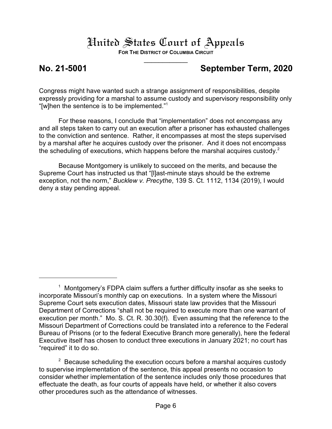**FOR THE DISTRICT OF COLUMBIA CIRCUIT**  $\overline{\phantom{a}}$ 

## **No. 21-5001 September Term, 2020**

Congress might have wanted such a strange assignment of responsibilities, despite expressly providing for a marshal to assume custody and supervisory responsibility only "[w]hen the sentence is to be implemented." 1

For these reasons, I conclude that "implementation" does not encompass any and all steps taken to carry out an execution after a prisoner has exhausted challenges to the conviction and sentence. Rather, it encompasses at most the steps supervised by a marshal after he acquires custody over the prisoner. And it does not encompass the scheduling of executions, which happens before the marshal acquires custody.<sup>2</sup>

Because Montgomery is unlikely to succeed on the merits, and because the Supreme Court has instructed us that "[l]ast-minute stays should be the extreme exception, not the norm," *Bucklew v. Precythe*, 139 S. Ct. 1112, 1134 (2019), I would deny a stay pending appeal.

 $1$  Montgomery's FDPA claim suffers a further difficulty insofar as she seeks to incorporate Missouri's monthly cap on executions. In a system where the Missouri Supreme Court sets execution dates, Missouri state law provides that the Missouri Department of Corrections "shall not be required to execute more than one warrant of execution per month." Mo. S. Ct. R. 30.30(f). Even assuming that the reference to the Missouri Department of Corrections could be translated into a reference to the Federal Bureau of Prisons (or to the federal Executive Branch more generally), here the federal Executive itself has chosen to conduct three executions in January 2021; no court has "required" it to do so.

 $2$  Because scheduling the execution occurs before a marshal acquires custody to supervise implementation of the sentence, this appeal presents no occasion to consider whether implementation of the sentence includes only those procedures that effectuate the death, as four courts of appeals have held, or whether it also covers other procedures such as the attendance of witnesses.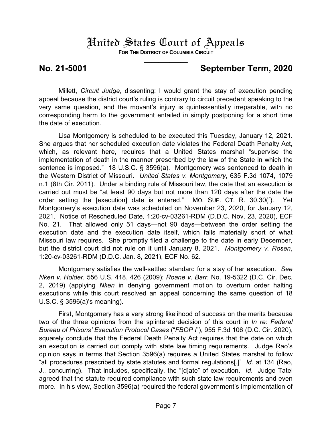**FOR THE DISTRICT OF COLUMBIA CIRCUIT**  $\overline{\phantom{a}}$ 

### **No. 21-5001 September Term, 2020**

Millett, *Circuit Judge*, dissenting: I would grant the stay of execution pending appeal because the district court's ruling is contrary to circuit precedent speaking to the very same question, and the movant's injury is quintessentially irreparable, with no corresponding harm to the government entailed in simply postponing for a short time the date of execution.

Lisa Montgomery is scheduled to be executed this Tuesday, January 12, 2021. She argues that her scheduled execution date violates the Federal Death Penalty Act, which, as relevant here, requires that a United States marshal "supervise the implementation of death in the manner prescribed by the law of the State in which the sentence is imposed." 18 U.S.C. § 3596(a). Montgomery was sentenced to death in the Western District of Missouri. *United States v. Montgomery*, 635 F.3d 1074, 1079 n.1 (8th Cir. 2011). Under a binding rule of Missouri law, the date that an execution is carried out must be "at least 90 days but not more than 120 days after the date the order setting the [execution] date is entered." MO. SUP. CT. R. 30.30(f). Yet Montgomery's execution date was scheduled on November 23, 2020, for January 12, 2021. Notice of Rescheduled Date, 1:20-cv-03261-RDM (D.D.C. Nov. 23, 2020), ECF No. 21. That allowed only 51 days—not 90 days—between the order setting the execution date and the execution date itself, which falls materially short of what Missouri law requires. She promptly filed a challenge to the date in early December, but the district court did not rule on it until January 8, 2021. *Montgomery v. Rosen*, 1:20-cv-03261-RDM (D.D.C. Jan. 8, 2021), ECF No. 62.

Montgomery satisfies the well-settled standard for a stay of her execution. *See Nken v. Holder*, 556 U.S. 418, 426 (2009); *Roane v. Barr*, No. 19-5322 (D.C. Cir. Dec. 2, 2019) (applying *Nken* in denying government motion to overturn order halting executions while this court resolved an appeal concerning the same question of 18 U.S.C. § 3596(a)'s meaning).

First, Montgomery has a very strong likelihood of success on the merits because two of the three opinions from the splintered decision of this court in *In re: Federal Bureau of Prisons' Execution Protocol Cases* ("*FBOP I*"), 955 F.3d 106 (D.C. Cir. 2020), squarely conclude that the Federal Death Penalty Act requires that the date on which an execution is carried out comply with state law timing requirements. Judge Rao's opinion says in terms that Section 3596(a) requires a United States marshal to follow "all procedures prescribed by state statutes and formal regulations[.]" *Id.* at 134 (Rao, J., concurring). That includes, specifically, the "[d]ate" of execution. *Id*. Judge Tatel agreed that the statute required compliance with such state law requirements and even more. In his view, Section 3596(a) required the federal government's implementation of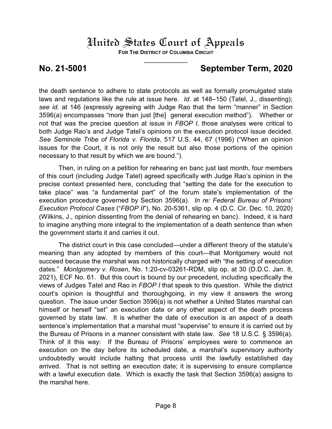**FOR THE DISTRICT OF COLUMBIA CIRCUIT**  $\overline{\phantom{a}}$ 

### **No. 21-5001 September Term, 2020**

the death sentence to adhere to state protocols as well as formally promulgated state laws and regulations like the rule at issue here. *Id.* at 148–150 (Tatel, J., dissenting); *see id*. at 146 (expressly agreeing with Judge Rao that the term "manner" in Section 3596(a) encompasses "more than just [the] general execution method"). Whether or not that was the precise question at issue in *FBOP I*, those analyses were critical to both Judge Rao's and Judge Tatel's opinions on the execution protocol issue decided. *See Seminole Tribe of Florida v. Florida*, 517 U.S. 44, 67 (1996) ("When an opinion issues for the Court, it is not only the result but also those portions of the opinion necessary to that result by which we are bound.").

Then, in ruling on a petition for rehearing en banc just last month, four members of this court (including Judge Tatel) agreed specifically with Judge Rao's opinion in the precise context presented here, concluding that "setting the date for the execution to take place" was "a fundamental part" of the forum state's implementation of the execution procedure governed by Section 3596(a). *In re: Federal Bureau of Prisons' Execution Protocol Cases* ("*FBOP II*"), No. 20-5361, slip op. 4 (D.C. Cir. Dec. 10, 2020) (Wilkins, J., opinion dissenting from the denial of rehearing en banc). Indeed, it is hard to imagine anything more integral to the implementation of a death sentence than when the government starts it and carries it out.

The district court in this case concluded—under a different theory of the statute's meaning than any adopted by members of this court—that Montgomery would not succeed because the marshal was not historically charged with "the setting of execution dates." *Montgomery v. Rosen*, No. 1:20-cv-03261-RDM, slip op. at 30 (D.D.C. Jan. 8, 2021), ECF No. 61. But this court is bound by our precedent, including specifically the views of Judges Tatel and Rao in *FBOP I* that speak to this question. While the district court's opinion is thoughtful and thoroughgoing, in my view it answers the wrong question. The issue under Section 3596(a) is not whether a United States marshal can himself or herself "set" an execution date or any other aspect of the death process governed by state law. It is whether the date of execution is an aspect of a death sentence's implementation that a marshal must "supervise" to ensure it is carried out by the Bureau of Prisons in a manner consistent with state law. *See* 18 U.S.C. § 3596(a). Think of it this way: If the Bureau of Prisons' employees were to commence an execution on the day before its scheduled date, a marshal's supervisory authority undoubtedly would include halting that process until the lawfully established day arrived. That is not setting an execution date; it is supervising to ensure compliance with a lawful execution date. Which is exactly the task that Section 3596(a) assigns to the marshal here.